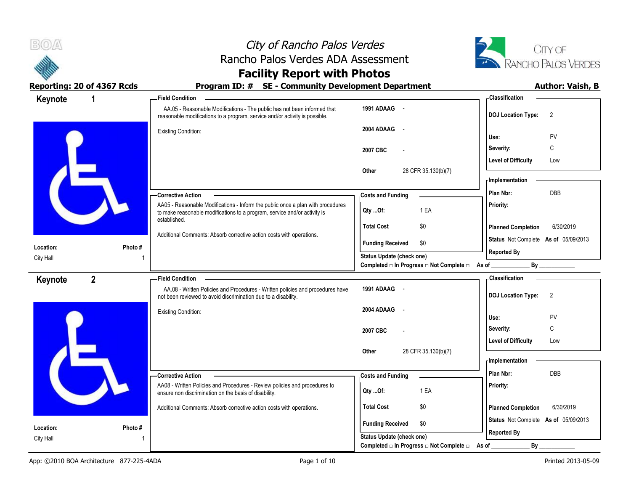|                            | City of Rancho Palos Verdes<br>Rancho Palos Verdes ADA Assessment<br><b>Facility Report with Photos</b>                                                                      |                                                                             |                                          | CITY OF<br>RANCHO PALOS VERDES |
|----------------------------|------------------------------------------------------------------------------------------------------------------------------------------------------------------------------|-----------------------------------------------------------------------------|------------------------------------------|--------------------------------|
| Reporting: 20 of 4367 Rcds | Program ID: # SE - Community Development Department                                                                                                                          |                                                                             |                                          | <b>Author: Vaish, B</b>        |
| Keynote<br>1               | <b>Field Condition</b>                                                                                                                                                       |                                                                             | <b>Classification</b>                    |                                |
|                            | AA.05 - Reasonable Modifications - The public has not been informed that<br>reasonable modifications to a program, service and/or activity is possible.                      | 1991 ADAAG -                                                                | DOJ Location Type: 2                     |                                |
|                            | <b>Existing Condition:</b>                                                                                                                                                   | 2004 ADAAG -                                                                | Use:                                     | PV                             |
|                            |                                                                                                                                                                              | 2007 CBC                                                                    | Severity:                                | $\mathsf{C}$                   |
|                            |                                                                                                                                                                              | Other<br>28 CFR 35.130(b)(7)                                                | <b>Level of Difficulty</b>               | Low                            |
|                            |                                                                                                                                                                              |                                                                             | Implementation                           |                                |
|                            | <b>Corrective Action</b>                                                                                                                                                     | <b>Costs and Funding</b>                                                    | Plan Nbr:                                | DBB                            |
|                            | AA05 - Reasonable Modifications - Inform the public once a plan with procedures<br>to make reasonable modifications to a program, service and/or activity is<br>established. | 1 EA<br>QtyOf:                                                              | Priority:                                |                                |
|                            | Additional Comments: Absorb corrective action costs with operations.                                                                                                         | <b>Total Cost</b><br>\$0                                                    | <b>Planned Completion</b>                | 6/30/2019                      |
| Photo#<br>Location:        |                                                                                                                                                                              | <b>Funding Received</b><br>\$0                                              | Status Not Complete As of 05/09/2013     |                                |
| City Hall                  |                                                                                                                                                                              | Status Update (check one)                                                   | <b>Reported By</b>                       |                                |
|                            |                                                                                                                                                                              | Completed $\Box$ In Progress $\Box$ Not Complete $\Box$ As of               | $By_$                                    |                                |
| $\overline{2}$<br>Keynote  | <b>Field Condition</b><br>AA.08 - Written Policies and Procedures - Written policies and procedures have<br>not been reviewed to avoid discrimination due to a disability.   | 1991 ADAAG -                                                                | - Classification<br>DOJ Location Type: 2 |                                |
|                            | <b>Existing Condition:</b>                                                                                                                                                   | 2004 ADAAG -                                                                |                                          |                                |
|                            |                                                                                                                                                                              |                                                                             | Use:<br>Severity:                        | PV<br>$\mathsf{C}$             |
|                            |                                                                                                                                                                              | 2007 CBC                                                                    | <b>Level of Difficulty</b>               | Low                            |
|                            |                                                                                                                                                                              | 28 CFR 35.130(b)(7)<br>Other                                                | Implementation                           |                                |
|                            | <b>Corrective Action</b>                                                                                                                                                     | <b>Costs and Funding</b>                                                    | Plan Nbr:                                | DBB                            |
|                            | AA08 - Written Policies and Procedures - Review policies and procedures to<br>ensure non discrimination on the basis of disability.                                          | 1 EA<br>$Qty$ Of:                                                           | Priority:                                |                                |
|                            | Additional Comments: Absorb corrective action costs with operations.                                                                                                         | <b>Total Cost</b><br>\$0                                                    | <b>Planned Completion</b>                | 6/30/2019                      |
| Location:<br>Photo #       |                                                                                                                                                                              | <b>Funding Received</b><br>\$0                                              | Status Not Complete As of 05/09/2013     |                                |
| City Hall                  |                                                                                                                                                                              | Status Update (check one)<br>Completed □ In Progress □ Not Complete □ As of | <b>Reported By</b><br>By                 |                                |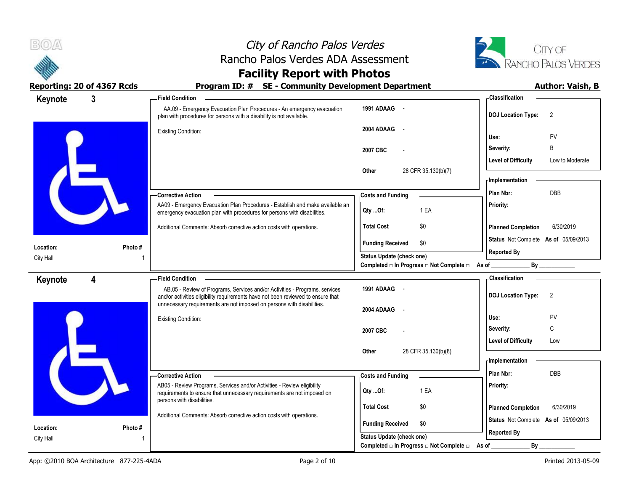|                            | City of Rancho Palos Verdes<br>Rancho Palos Verdes ADA Assessment<br><b>Facility Report with Photos</b>                                                                                   |                                                                             |                                               | CITY OF<br>RANCHO PALOS VERDES |
|----------------------------|-------------------------------------------------------------------------------------------------------------------------------------------------------------------------------------------|-----------------------------------------------------------------------------|-----------------------------------------------|--------------------------------|
| Reporting: 20 of 4367 Rcds | Program ID: # SE - Community Development Department                                                                                                                                       |                                                                             |                                               | <b>Author: Vaish, B</b>        |
| 3<br>Keynote               | <b>Field Condition</b>                                                                                                                                                                    |                                                                             | - Classification                              |                                |
|                            | AA.09 - Emergency Evacuation Plan Procedures - An emergency evacuation<br>plan with procedures for persons with a disability is not available.                                            | 1991 ADAAG -                                                                | <b>DOJ Location Type:</b>                     | $\overline{\phantom{0}}$       |
|                            | <b>Existing Condition:</b>                                                                                                                                                                | 2004 ADAAG -                                                                | Use:                                          | PV                             |
|                            |                                                                                                                                                                                           | 2007 CBC                                                                    | Severity:                                     | B                              |
|                            |                                                                                                                                                                                           | Other<br>28 CFR 35.130(b)(7)                                                | <b>Level of Difficulty</b>                    | Low to Moderate                |
|                            |                                                                                                                                                                                           |                                                                             | <b>Implementation</b>                         |                                |
|                            | Corrective Action                                                                                                                                                                         | Costs and Funding                                                           | Plan Nbr:                                     | DBB                            |
|                            | AA09 - Emergency Evacuation Plan Procedures - Establish and make available an<br>emergency evacuation plan with procedures for persons with disabilities.                                 | 1 EA<br>$Qty$ Of:                                                           | Priority:                                     |                                |
|                            | Additional Comments: Absorb corrective action costs with operations.                                                                                                                      | <b>Total Cost</b><br>\$0                                                    | <b>Planned Completion</b>                     | 6/30/2019                      |
| Photo#<br>Location:        |                                                                                                                                                                                           | <b>Funding Received</b><br>\$0                                              | Status Not Complete As of 05/09/2013          |                                |
| City Hall                  |                                                                                                                                                                                           | <b>Status Update (check one)</b>                                            | <b>Reported By</b>                            |                                |
|                            |                                                                                                                                                                                           | Completed □ In Progress □ Not Complete □ As of                              | $By_$                                         |                                |
| 4<br>Keynote               | <b>Field Condition</b><br>AB.05 - Review of Programs, Services and/or Activities - Programs, services<br>and/or activities eligibility requirements have not been reviewed to ensure that | 1991 ADAAG -                                                                | <b>Classification</b><br>DOJ Location Type: 2 |                                |
|                            | unnecessary requirements are not imposed on persons with disabilities.                                                                                                                    | 2004 ADAAG -                                                                |                                               |                                |
|                            | <b>Existing Condition:</b>                                                                                                                                                                |                                                                             | Use:                                          | PV                             |
|                            |                                                                                                                                                                                           | 2007 CBC                                                                    | Severity:                                     | $\mathsf{C}$                   |
|                            |                                                                                                                                                                                           | 28 CFR 35.130(b)(8)<br><b>Other</b>                                         | <b>Level of Difficulty</b>                    | Low                            |
|                            |                                                                                                                                                                                           |                                                                             | <b>Implementation</b>                         |                                |
|                            | - Corrective Action                                                                                                                                                                       | <b>Costs and Funding</b>                                                    | Plan Nbr:                                     | DBB                            |
|                            | AB05 - Review Programs, Services and/or Activities - Review eligibility<br>requirements to ensure that unnecessary requirements are not imposed on                                        | 1 EA<br>Qty Of:                                                             | Priority:                                     |                                |
|                            | persons with disabilities.                                                                                                                                                                | \$0<br><b>Total Cost</b>                                                    | <b>Planned Completion</b>                     | 6/30/2019                      |
| Photo#<br>Location:        | Additional Comments: Absorb corrective action costs with operations.                                                                                                                      | <b>Funding Received</b><br>\$0                                              | Status Not Complete As of 05/09/2013          |                                |
| City Hall                  |                                                                                                                                                                                           | Status Update (check one)<br>Completed □ In Progress □ Not Complete □ As of | <b>Reported By</b><br>$By_$                   |                                |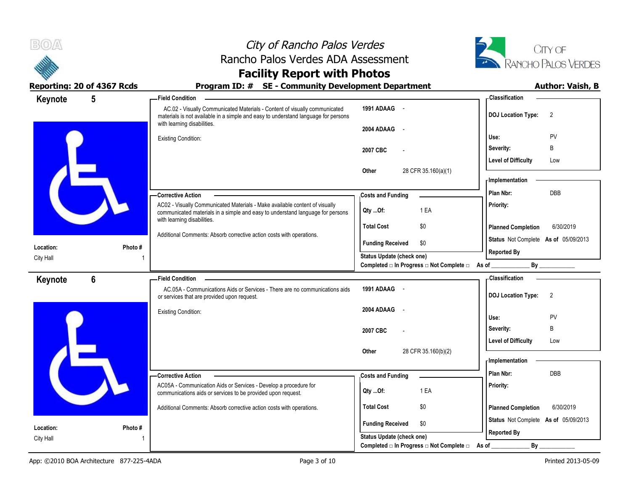|                            | City of Rancho Palos Verdes<br>Rancho Palos Verdes ADA Assessment<br><b>Facility Report with Photos</b>                                                                                         |                                                                             |                                      | CITY OF<br><b>LANCHO PALOS VERDES</b> |
|----------------------------|-------------------------------------------------------------------------------------------------------------------------------------------------------------------------------------------------|-----------------------------------------------------------------------------|--------------------------------------|---------------------------------------|
| Reporting: 20 of 4367 Rcds | <b>Program ID: # SE - Community Development Department</b>                                                                                                                                      |                                                                             |                                      | <b>Author: Vaish, B</b>               |
| 5<br>Keynote               | <b>Field Condition</b>                                                                                                                                                                          |                                                                             | <b>Classification</b>                |                                       |
|                            | AC.02 - Visually Communicated Materials - Content of visually communicated<br>materials is not available in a simple and easy to understand language for persons<br>with learning disabilities. | 1991 ADAAG -<br>2004 ADAAG -                                                | DOJ Location Type: 2                 |                                       |
|                            | <b>Existing Condition:</b>                                                                                                                                                                      |                                                                             | Use:                                 | PV                                    |
|                            |                                                                                                                                                                                                 | 2007 CBC                                                                    | Severity:                            | B                                     |
|                            |                                                                                                                                                                                                 | Other<br>28 CFR 35.160(a)(1)                                                | <b>Level of Difficulty</b>           | Low                                   |
|                            |                                                                                                                                                                                                 |                                                                             | <b>Implementation</b>                |                                       |
|                            | - Corrective Action                                                                                                                                                                             | <b>Costs and Funding</b>                                                    | Plan Nbr:                            | <b>DBB</b>                            |
|                            | AC02 - Visually Communicated Materials - Make available content of visually<br>communicated materials in a simple and easy to understand language for persons                                   | 1 EA<br>Qty Of:                                                             | Priority:                            |                                       |
|                            | with learning disabilities.                                                                                                                                                                     | <b>Total Cost</b><br>\$0                                                    | <b>Planned Completion</b>            | 6/30/2019                             |
| Location:                  | Additional Comments: Absorb corrective action costs with operations.<br>Photo#                                                                                                                  | <b>Funding Received</b><br>\$0                                              | Status Not Complete As of 05/09/2013 |                                       |
| City Hall                  | $\overline{\mathbf{1}}$                                                                                                                                                                         | Status Update (check one)                                                   | <b>Reported By</b>                   |                                       |
|                            |                                                                                                                                                                                                 | Completed $\square$ In Progress $\square$ Not Complete $\square$ As of      | $By_$                                |                                       |
| $6\phantom{1}$<br>Keynote  | <b>Field Condition</b>                                                                                                                                                                          |                                                                             | <b>Classification</b>                |                                       |
|                            | AC.05A - Communications Aids or Services - There are no communications aids<br>or services that are provided upon request.                                                                      | 1991 ADAAG -                                                                | <b>DOJ Location Type:</b>            | $\overline{2}$                        |
|                            | <b>Existing Condition:</b>                                                                                                                                                                      | 2004 ADAAG                                                                  | Use:                                 | PV                                    |
|                            |                                                                                                                                                                                                 |                                                                             | Severity:                            | B                                     |
|                            |                                                                                                                                                                                                 | 2007 CBC                                                                    | <b>Level of Difficulty</b>           | Low                                   |
|                            |                                                                                                                                                                                                 | <b>Other</b><br>28 CFR 35.160(b)(2)                                         |                                      |                                       |
|                            |                                                                                                                                                                                                 |                                                                             | <b>Implementation</b>                |                                       |
|                            | - Corrective Action                                                                                                                                                                             | <b>Costs and Funding</b>                                                    | Plan Nbr:                            | <b>DBB</b>                            |
|                            | AC05A - Communication Aids or Services - Develop a procedure for<br>communications aids or services to be provided upon request.                                                                | 1 EA<br>Qty Of:                                                             | Priority:                            |                                       |
|                            | Additional Comments: Absorb corrective action costs with operations.                                                                                                                            | \$0<br><b>Total Cost</b>                                                    | <b>Planned Completion</b>            | 6/30/2019                             |
| Location:                  | Photo#                                                                                                                                                                                          | <b>Funding Received</b><br>\$0                                              | Status Not Complete As of 05/09/2013 |                                       |
| City Hall                  |                                                                                                                                                                                                 | Status Update (check one)<br>Completed □ In Progress □ Not Complete □ As of | <b>Reported By</b><br>By             |                                       |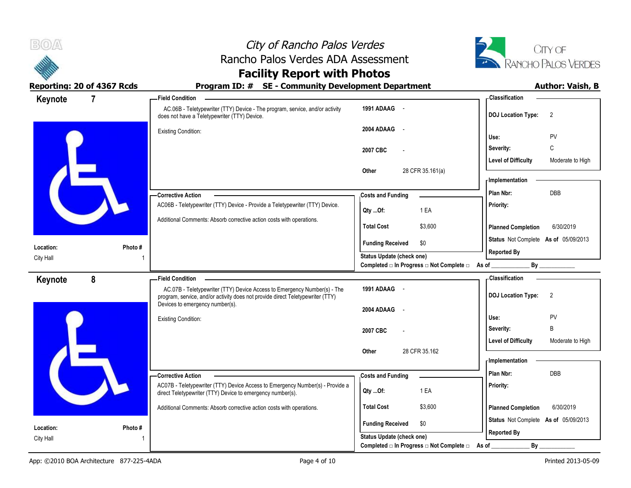|                            | City of Rancho Palos Verdes<br>Rancho Palos Verdes ADA Assessment<br><b>Facility Report with Photos</b>                                                    |                                                                               | CITY OF<br><b>RANCHO PALOS VERDES</b>                      |                         |
|----------------------------|------------------------------------------------------------------------------------------------------------------------------------------------------------|-------------------------------------------------------------------------------|------------------------------------------------------------|-------------------------|
| Reporting: 20 of 4367 Rcds | Program ID: # SE - Community Development Department                                                                                                        |                                                                               |                                                            | <b>Author: Vaish, B</b> |
| $\overline{7}$<br>Keynote  | <b>Field Condition</b>                                                                                                                                     |                                                                               | <b>Classification</b>                                      |                         |
|                            | AC.06B - Teletypewriter (TTY) Device - The program, service, and/or activity<br>does not have a Teletypewriter (TTY) Device.                               | 1991 ADAAG -                                                                  | DOJ Location Type: 2                                       |                         |
|                            | <b>Existing Condition:</b>                                                                                                                                 | 2004 ADAAG -                                                                  | Use:                                                       | PV                      |
|                            |                                                                                                                                                            |                                                                               | Severity:                                                  | $\mathsf{C}$            |
|                            |                                                                                                                                                            | 2007 CBC                                                                      | <b>Level of Difficulty</b>                                 | Moderate to High        |
|                            |                                                                                                                                                            | Other<br>28 CFR 35.161(a)                                                     |                                                            |                         |
|                            |                                                                                                                                                            |                                                                               | <b>Implementation</b>                                      |                         |
|                            | -Corrective Action                                                                                                                                         | <b>Costs and Funding</b>                                                      | Plan Nbr:                                                  | DBB                     |
| Photo#<br>Location:        | AC06B - Teletypewriter (TTY) Device - Provide a Teletypewriter (TTY) Device.                                                                               | 1 EA<br>Qty Of:                                                               | Priority:                                                  |                         |
|                            | Additional Comments: Absorb corrective action costs with operations.                                                                                       | <b>Total Cost</b><br>\$3,600                                                  | <b>Planned Completion</b>                                  | 6/30/2019               |
|                            |                                                                                                                                                            | <b>Funding Received</b><br>\$0                                                | Status Not Complete As of 05/09/2013                       |                         |
| City Hall                  | -1                                                                                                                                                         | Status Update (check one)                                                     | <b>Reported By</b>                                         |                         |
|                            |                                                                                                                                                            | Completed $\square$ In Progress $\square$ Not Complete $\square$ As of        | By                                                         |                         |
| 8<br>Keynote               | <b>Field Condition</b>                                                                                                                                     |                                                                               | - Classification                                           |                         |
|                            | AC.07B - Teletypewriter (TTY) Device Access to Emergency Number(s) - The<br>program, service, and/or activity does not provide direct Teletypewriter (TTY) | 1991 ADAAG -                                                                  | DOJ Location Type: 2                                       |                         |
|                            | Devices to emergency number(s).                                                                                                                            | 2004 ADAAG -                                                                  |                                                            |                         |
|                            | <b>Existing Condition:</b>                                                                                                                                 |                                                                               | Use:                                                       | PV                      |
|                            |                                                                                                                                                            | 2007 CBC                                                                      | Severity:                                                  | B                       |
|                            |                                                                                                                                                            |                                                                               | <b>Level of Difficulty</b>                                 | Moderate to High        |
|                            |                                                                                                                                                            | 28 CFR 35.162<br>Other                                                        | <b>Implementation</b>                                      |                         |
|                            |                                                                                                                                                            |                                                                               | Plan Nbr:                                                  | DBB                     |
|                            | - Corrective Action<br>AC07B - Teletypewriter (TTY) Device Access to Emergency Number(s) - Provide a                                                       | <b>Costs and Funding</b>                                                      | Priority:                                                  |                         |
|                            | direct Teletypewriter (TTY) Device to emergency number(s).                                                                                                 | 1 EA<br>$Qty$ Of:                                                             |                                                            |                         |
|                            | Additional Comments: Absorb corrective action costs with operations.                                                                                       | \$3,600<br><b>Total Cost</b>                                                  | <b>Planned Completion</b>                                  | 6/30/2019               |
| Photo #<br>Location:       |                                                                                                                                                            | <b>Funding Received</b><br>\$0                                                | Status Not Complete As of 05/09/2013<br><b>Reported By</b> |                         |
| City Hall                  |                                                                                                                                                            | Status Update (check one)<br>Completed □ In Progress □ Not Complete □ As of _ | $By_$                                                      |                         |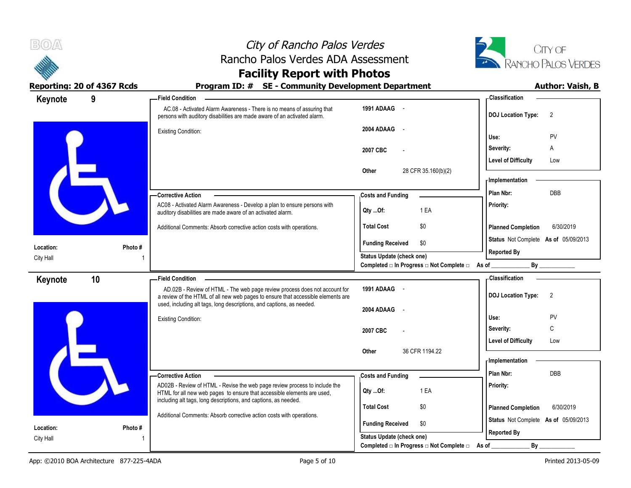|                            | City of Rancho Palos Verdes<br>Rancho Palos Verdes ADA Assessment<br><b>Facility Report with Photos</b>                                                        |                                                                                    | CITY OF<br>RANCHO PALOS VERDES                             |                         |
|----------------------------|----------------------------------------------------------------------------------------------------------------------------------------------------------------|------------------------------------------------------------------------------------|------------------------------------------------------------|-------------------------|
| Reporting: 20 of 4367 Rcds | Program ID: # SE - Community Development Department                                                                                                            |                                                                                    |                                                            | <b>Author: Vaish, B</b> |
| 9<br>Keynote               | <b>Field Condition</b>                                                                                                                                         |                                                                                    | Classification                                             |                         |
|                            | AC.08 - Activated Alarm Awareness - There is no means of assuring that<br>persons with auditory disabilities are made aware of an activated alarm.             | 1991 ADAAG -                                                                       | DOJ Location Type: 2                                       |                         |
|                            | <b>Existing Condition:</b>                                                                                                                                     | 2004 ADAAG -                                                                       | Use:                                                       | PV                      |
|                            |                                                                                                                                                                | 2007 CBC                                                                           | Severity:                                                  | A                       |
|                            |                                                                                                                                                                | 28 CFR 35.160(b)(2)<br><b>Other</b>                                                | Level of Difficulty                                        | Low                     |
|                            |                                                                                                                                                                |                                                                                    | Implementation                                             |                         |
|                            | <b>Corrective Action</b>                                                                                                                                       | <b>Costs and Funding</b>                                                           | Plan Nbr:                                                  | <b>DBB</b>              |
|                            | AC08 - Activated Alarm Awareness - Develop a plan to ensure persons with<br>auditory disabilities are made aware of an activated alarm.                        | 1 EA<br>QtyOf:                                                                     | Priority:                                                  |                         |
|                            | Additional Comments: Absorb corrective action costs with operations.                                                                                           | <b>Total Cost</b><br>\$0                                                           | <b>Planned Completion</b>                                  | 6/30/2019               |
| Photo#<br>Location:        |                                                                                                                                                                | <b>Funding Received</b><br>\$0                                                     | Status Not Complete As of 05/09/2013<br><b>Reported By</b> |                         |
| City Hall                  |                                                                                                                                                                | <b>Status Update (check one)</b><br>Completed □ In Progress □ Not Complete □ As of | $By_$                                                      |                         |
|                            | <b>Field Condition</b>                                                                                                                                         |                                                                                    | - Classification                                           |                         |
| 10<br>Keynote              | AD.02B - Review of HTML - The web page review process does not account for<br>a review of the HTML of all new web pages to ensure that accessible elements are | 1991 ADAAG -                                                                       | DOJ Location Type: 2                                       |                         |
|                            | used, including alt tags, long descriptions, and captions, as needed.                                                                                          | 2004 ADAAG -                                                                       |                                                            |                         |
|                            | Existing Condition:                                                                                                                                            |                                                                                    | Use:                                                       | PV<br>C                 |
|                            |                                                                                                                                                                | 2007 CBC                                                                           | Severity:                                                  | Low                     |
|                            |                                                                                                                                                                | 36 CFR 1194.22<br><b>Other</b>                                                     | Level of Difficulty                                        |                         |
|                            |                                                                                                                                                                |                                                                                    | Implementation                                             |                         |
|                            | - Corrective Action                                                                                                                                            | <b>Costs and Funding</b>                                                           | Plan Nbr:                                                  | DBB                     |
|                            | AD02B - Review of HTML - Revise the web page review process to include the<br>HTML for all new web pages to ensure that accessible elements are used,          | 1 EA<br>QtyOf:                                                                     | Priority:                                                  |                         |
|                            | including alt tags, long descriptions, and captions, as needed.                                                                                                | <b>Total Cost</b><br>\$0                                                           | <b>Planned Completion</b>                                  | 6/30/2019               |
| Location:<br>Photo #       | Additional Comments: Absorb corrective action costs with operations.                                                                                           | <b>Funding Received</b><br>\$0                                                     | Status Not Complete As of 05/09/2013                       |                         |
| City Hall                  |                                                                                                                                                                | Status Update (check one)<br>Completed □ In Progress □ Not Complete □ As of        | <b>Reported By</b><br>By                                   |                         |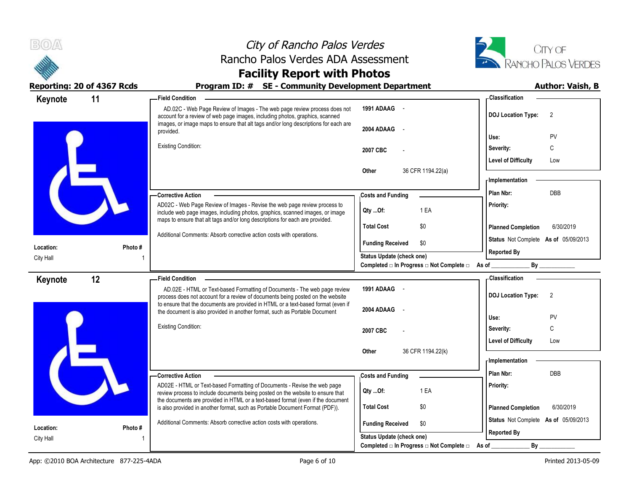|                            | City of Rancho Palos Verdes<br>Rancho Palos Verdes ADA Assessment<br><b>Facility Report with Photos</b>                                                                                                                                          |                                                                             |                                      | CITY OF<br><b>RANCHO PALOS VERDES</b> |
|----------------------------|--------------------------------------------------------------------------------------------------------------------------------------------------------------------------------------------------------------------------------------------------|-----------------------------------------------------------------------------|--------------------------------------|---------------------------------------|
| Reporting: 20 of 4367 Rcds | Program ID: # SE - Community Development Department                                                                                                                                                                                              |                                                                             |                                      | <b>Author: Vaish, B</b>               |
| 11<br>Keynote              | <b>Field Condition</b>                                                                                                                                                                                                                           |                                                                             | Classification                       |                                       |
|                            | AD.02C - Web Page Review of Images - The web page review process does not<br>account for a review of web page images, including photos, graphics, scanned<br>images, or image maps to ensure that alt tags and/or long descriptions for each are | 1991 ADAAG -                                                                | DOJ Location Type: 2                 |                                       |
|                            | provided.                                                                                                                                                                                                                                        | 2004 ADAAG -                                                                | Use:                                 | PV                                    |
|                            | <b>Existing Condition:</b>                                                                                                                                                                                                                       | 2007 CBC                                                                    | Severity:                            | $\mathsf{C}$                          |
|                            |                                                                                                                                                                                                                                                  |                                                                             | <b>Level of Difficulty</b>           | Low                                   |
|                            |                                                                                                                                                                                                                                                  | Other<br>36 CFR 1194.22(a)                                                  | - Implementation                     |                                       |
|                            | - Corrective Action                                                                                                                                                                                                                              | <b>Costs and Funding</b>                                                    | Plan Nbr:                            | DBB                                   |
|                            | AD02C - Web Page Review of Images - Revise the web page review process to<br>include web page images, including photos, graphics, scanned images, or image                                                                                       | 1 EA<br>Qty Of:                                                             | <b>Priority:</b>                     |                                       |
|                            | maps to ensure that alt tags and/or long descriptions for each are provided.                                                                                                                                                                     | <b>Total Cost</b><br>\$0                                                    | <b>Planned Completion</b>            | 6/30/2019                             |
| Photo#<br>Location:        | Additional Comments: Absorb corrective action costs with operations.                                                                                                                                                                             | <b>Funding Received</b><br>\$0                                              | Status Not Complete As of 05/09/2013 |                                       |
| City Hall                  | -1                                                                                                                                                                                                                                               | <b>Status Update (check one)</b>                                            | <b>Reported By</b>                   |                                       |
|                            |                                                                                                                                                                                                                                                  | Completed $\Box$ In Progress $\Box$ Not Complete $\Box$ As of               | By                                   |                                       |
| 12<br>Keynote              | <b>Field Condition</b>                                                                                                                                                                                                                           |                                                                             | - Classification                     |                                       |
|                            | AD.02E - HTML or Text-based Formatting of Documents - The web page review<br>process does not account for a review of documents being posted on the website                                                                                      | 1991 ADAAG -                                                                | DOJ Location Type: 2                 |                                       |
|                            | to ensure that the documents are provided in HTML or a text-based format (even if<br>the document is also provided in another format, such as Portable Document                                                                                  | 2004 ADAAG                                                                  | Use:                                 | PV                                    |
|                            | <b>Existing Condition:</b>                                                                                                                                                                                                                       | 2007 CBC                                                                    | Severity:                            | $\mathsf{C}$                          |
|                            |                                                                                                                                                                                                                                                  |                                                                             | <b>Level of Difficulty</b>           | Low                                   |
|                            |                                                                                                                                                                                                                                                  | 36 CFR 1194.22(k)<br>Other                                                  |                                      |                                       |
|                            |                                                                                                                                                                                                                                                  |                                                                             | <b>Implementation</b>                |                                       |
|                            | - Corrective Action                                                                                                                                                                                                                              | <b>Costs and Funding</b>                                                    | Plan Nbr:                            | <b>DBB</b>                            |
|                            | AD02E - HTML or Text-based Formatting of Documents - Revise the web page<br>review process to include documents being posted on the website to ensure that                                                                                       | 1 EA<br>QtyOf:                                                              | Priority:                            |                                       |
|                            | the documents are provided in HTML or a text-based format (even if the document<br>is also provided in another format, such as Portable Document Format (PDF)).                                                                                  | <b>Total Cost</b><br>\$0                                                    | <b>Planned Completion</b>            | 6/30/2019                             |
| Photo#<br>Location:        | Additional Comments: Absorb corrective action costs with operations.                                                                                                                                                                             | <b>Funding Received</b><br>\$0                                              | Status Not Complete As of 05/09/2013 |                                       |
| City Hall                  |                                                                                                                                                                                                                                                  | Status Update (check one)<br>Completed □ In Progress □ Not Complete □ As of | <b>Reported By</b><br>By.            |                                       |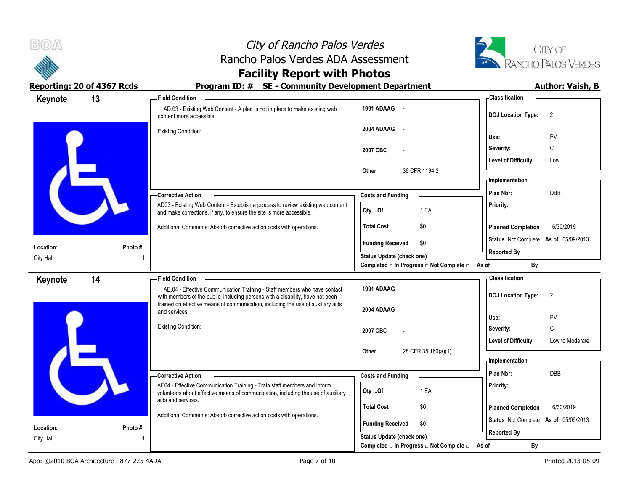|                                   | City of Rancho Palos Verdes<br>Rancho Palos Verdes ADA Assessment<br><b>Facility Report with Photos</b>                                                                               |                                                                                                                                         |                                                                   | CITY OF<br><b>RANCHO PALOS VERDES</b> |
|-----------------------------------|---------------------------------------------------------------------------------------------------------------------------------------------------------------------------------------|-----------------------------------------------------------------------------------------------------------------------------------------|-------------------------------------------------------------------|---------------------------------------|
| Reporting: 20 of 4367 Rcds        | Program ID: # SE - Community Development Department                                                                                                                                   |                                                                                                                                         |                                                                   | <b>Author: Vaish, B</b>               |
| 13<br>Keynote                     | <b>Field Condition</b><br>AD.03 - Existing Web Content - A plan is not in place to make existing web<br>content more accessible.                                                      | 1991 ADAAG -                                                                                                                            | - Classification<br><b>DOJ Location Type:</b>                     | $\overline{\phantom{0}}^2$            |
|                                   | <b>Existing Condition:</b>                                                                                                                                                            | 2004 ADAAG -                                                                                                                            | Use:                                                              | PV                                    |
|                                   |                                                                                                                                                                                       | 2007 CBC<br>$\overline{\phantom{a}}$                                                                                                    | Severity:<br>Level of Difficulty                                  | C<br>Low                              |
|                                   |                                                                                                                                                                                       | 36 CFR 1194.2<br>Other                                                                                                                  | <b>Implementation</b><br>Plan Nbr:                                | DBB                                   |
|                                   | -Corrective Action<br>AD03 - Existing Web Content - Establish a process to review existing web content<br>and make corrections, if any, to ensure the site is more accessible.        | <b>Costs and Funding</b><br>1 EA<br>Qty Of:                                                                                             | <b>Priority:</b>                                                  |                                       |
|                                   | Additional Comments: Absorb corrective action costs with operations.                                                                                                                  | \$0<br><b>Total Cost</b>                                                                                                                | <b>Planned Completion</b><br>Status Not Complete As of 05/09/2013 | 6/30/2019                             |
| Location:<br>Photo #<br>City Hall |                                                                                                                                                                                       | <b>Funding Received</b><br>\$0<br>Status Update (check one)                                                                             | <b>Reported By</b>                                                |                                       |
|                                   |                                                                                                                                                                                       | Completed □ In Progress □ Not Complete □ As of _                                                                                        |                                                                   | By                                    |
| Keynote<br>14                     | <b>Field Condition</b><br>AE.04 - Effective Communication Training - Staff members who have contact<br>with members of the public, including persons with a disability, have not been | 1991 ADAAG -                                                                                                                            | <b>Classification</b><br>DOJ Location Type: 2                     |                                       |
|                                   | trained on effective means of communication, including the use of auxiliary aids<br>and services.<br><b>Existing Condition:</b>                                                       | 2004 ADAAG -                                                                                                                            | Use:                                                              | <b>PV</b>                             |
|                                   |                                                                                                                                                                                       | 2007 CBC<br>28 CFR 35.160(a)(1)<br>Other                                                                                                | Severity:<br><b>Level of Difficulty</b>                           | C<br>Low to Moderate                  |
|                                   |                                                                                                                                                                                       |                                                                                                                                         | - Implementation<br>Plan Nbr:                                     | DBB                                   |
|                                   | – Corrective Action<br>AE04 - Effective Communication Training - Train staff members and inform<br>volunteers about effective means of communication, including the use of auxiliary  | <b>Costs and Funding</b><br>Qty Of:<br>1 EA                                                                                             | <b>Priority:</b>                                                  |                                       |
|                                   | aids and services.<br>Additional Comments: Absorb corrective action costs with operations.                                                                                            | \$0<br><b>Total Cost</b>                                                                                                                | <b>Planned Completion</b><br>Status Not Complete As of 05/09/2013 | 6/30/2019                             |
| Photo#<br>Location:<br>City Hall  |                                                                                                                                                                                       | \$0<br><b>Funding Received</b><br>Status Update (check one)<br>Completed $\square$ In Progress $\square$ Not Complete $\square$ As of _ | <b>Reported By</b><br>$By_$                                       |                                       |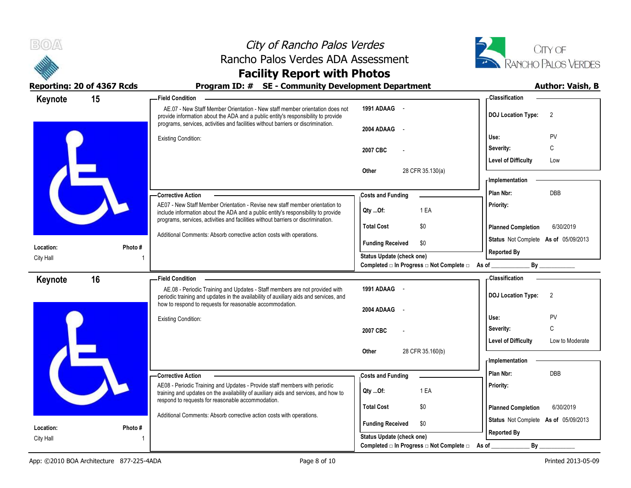|                            | City of Rancho Palos Verdes<br>Rancho Palos Verdes ADA Assessment<br><b>Facility Report with Photos</b>                                                                                                                                                |                                                                             | CITY OF<br>RANCHO PALOS VERDES       |                         |
|----------------------------|--------------------------------------------------------------------------------------------------------------------------------------------------------------------------------------------------------------------------------------------------------|-----------------------------------------------------------------------------|--------------------------------------|-------------------------|
| Reporting: 20 of 4367 Rcds | Program ID: # SE - Community Development Department                                                                                                                                                                                                    |                                                                             |                                      | <b>Author: Vaish, B</b> |
| 15<br>Keynote              | <b>Field Condition</b>                                                                                                                                                                                                                                 |                                                                             | <b>Classification</b>                |                         |
|                            | AE.07 - New Staff Member Orientation - New staff member orientation does not<br>provide information about the ADA and a public entity's responsibility to provide<br>programs, services, activities and facilities without barriers or discrimination. | 1991 ADAAG -<br>2004 ADAAG -                                                | DOJ Location Type: 2                 |                         |
|                            | <b>Existing Condition:</b>                                                                                                                                                                                                                             |                                                                             | Use:                                 | PV                      |
|                            |                                                                                                                                                                                                                                                        | 2007 CBC                                                                    | Severity:                            | C                       |
|                            |                                                                                                                                                                                                                                                        | 28 CFR 35.130(a)<br>Other                                                   | <b>Level of Difficulty</b>           | Low                     |
|                            |                                                                                                                                                                                                                                                        |                                                                             | - Implementation                     |                         |
|                            | -Corrective Action                                                                                                                                                                                                                                     | <b>Costs and Funding</b>                                                    | Plan Nbr:                            | <b>DBB</b>              |
|                            | AE07 - New Staff Member Orientation - Revise new staff member orientation to<br>include information about the ADA and a public entity's responsibility to provide                                                                                      | 1 EA<br>Qty Of:                                                             | Priority:                            |                         |
|                            | programs, services, activities and facilities without barriers or discrimination.                                                                                                                                                                      | <b>Total Cost</b><br>\$0                                                    | <b>Planned Completion</b>            | 6/30/2019               |
| Photo #<br>Location:       | Additional Comments: Absorb corrective action costs with operations.                                                                                                                                                                                   | <b>Funding Received</b><br>\$0                                              | Status Not Complete As of 05/09/2013 |                         |
| City Hall                  | $\overline{1}$                                                                                                                                                                                                                                         | Status Update (check one)                                                   | <b>Reported By</b>                   |                         |
|                            |                                                                                                                                                                                                                                                        | Completed $\Box$ In Progress $\Box$ Not Complete $\Box$ As of               | By                                   |                         |
| 16<br>Keynote              | <b>Field Condition</b>                                                                                                                                                                                                                                 |                                                                             | <b>Classification</b>                |                         |
|                            | AE.08 - Periodic Training and Updates - Staff members are not provided with<br>periodic training and updates in the availability of auxiliary aids and services, and                                                                                   | 1991 ADAAG -                                                                | DOJ Location Type: 2                 |                         |
|                            | how to respond to requests for reasonable accommodation.                                                                                                                                                                                               | 2004 ADAAG                                                                  |                                      |                         |
|                            | <b>Existing Condition:</b>                                                                                                                                                                                                                             |                                                                             | Use:                                 | PV                      |
|                            |                                                                                                                                                                                                                                                        | 2007 CBC                                                                    | Severity:                            | C                       |
|                            |                                                                                                                                                                                                                                                        |                                                                             | <b>Level of Difficulty</b>           | Low to Moderate         |
|                            |                                                                                                                                                                                                                                                        | 28 CFR 35.160(b)<br>Other                                                   | <b>Implementation</b>                |                         |
|                            |                                                                                                                                                                                                                                                        |                                                                             | Plan Nbr:                            | <b>DBB</b>              |
|                            | - Corrective Action<br>AE08 - Periodic Training and Updates - Provide staff members with periodic<br>training and updates on the availability of auxiliary aids and services, and how to                                                               | <b>Costs and Funding</b><br>1 EA<br>Qty Of:                                 | <b>Priority:</b>                     |                         |
|                            | respond to requests for reasonable accommodation.                                                                                                                                                                                                      | <b>Total Cost</b><br>\$0                                                    |                                      |                         |
|                            | Additional Comments: Absorb corrective action costs with operations.                                                                                                                                                                                   |                                                                             | <b>Planned Completion</b>            | 6/30/2019               |
| Photo #<br>Location:       |                                                                                                                                                                                                                                                        | <b>Funding Received</b><br>\$0                                              | Status Not Complete As of 05/09/2013 |                         |
| City Hall                  |                                                                                                                                                                                                                                                        | Status Update (check one)<br>Completed □ In Progress □ Not Complete □ As of | <b>Reported By</b><br>By.            |                         |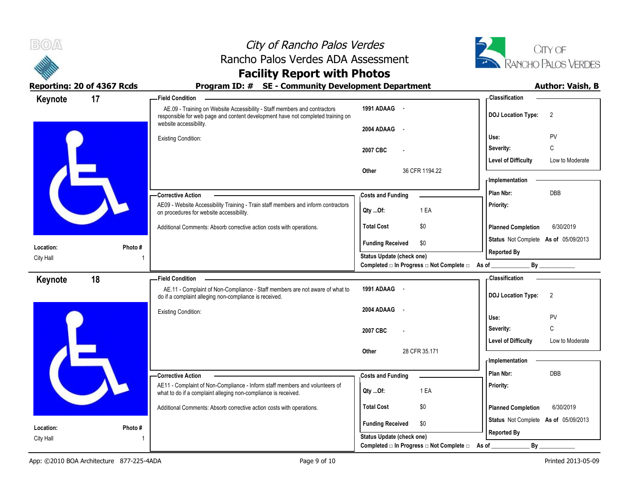|                            | City of Rancho Palos Verdes<br>Rancho Palos Verdes ADA Assessment<br><b>Facility Report with Photos</b>                                                                                |                                                                             |                                      | CITY OF<br><b>RANCHO PALOS VERDES</b> |
|----------------------------|----------------------------------------------------------------------------------------------------------------------------------------------------------------------------------------|-----------------------------------------------------------------------------|--------------------------------------|---------------------------------------|
| Reporting: 20 of 4367 Rcds | Program ID: # SE - Community Development Department                                                                                                                                    |                                                                             |                                      | <b>Author: Vaish, B</b>               |
| 17<br>Keynote              | <b>Field Condition</b>                                                                                                                                                                 |                                                                             | - Classification                     |                                       |
|                            | AE.09 - Training on Website Accessibility - Staff members and contractors<br>responsible for web page and content development have not completed training on<br>website accessibility. | 1991 ADAAG -                                                                | <b>DOJ Location Type:</b>            | $\overline{\phantom{0}}$              |
|                            |                                                                                                                                                                                        | 2004 ADAAG -                                                                | Use:                                 | PV                                    |
|                            | <b>Existing Condition:</b>                                                                                                                                                             | 2007 CBC                                                                    | Severity:                            | $\mathsf{C}$                          |
|                            |                                                                                                                                                                                        |                                                                             | <b>Level of Difficulty</b>           | Low to Moderate                       |
|                            |                                                                                                                                                                                        | 36 CFR 1194.22<br>Other                                                     |                                      |                                       |
|                            |                                                                                                                                                                                        |                                                                             | - Implementation                     |                                       |
|                            | - Corrective Action                                                                                                                                                                    | Costs and Funding                                                           | Plan Nbr:                            | DBB                                   |
|                            | AE09 - Website Accessibility Training - Train staff members and inform contractors<br>on procedures for website accessibility.                                                         | 1 EA<br>QtyOf:                                                              | Priority:                            |                                       |
|                            | Additional Comments: Absorb corrective action costs with operations.                                                                                                                   | <b>Total Cost</b><br>\$0                                                    | <b>Planned Completion</b>            | 6/30/2019                             |
| Location:<br>Photo#        |                                                                                                                                                                                        | <b>Funding Received</b><br>\$0                                              | Status Not Complete As of 05/09/2013 |                                       |
| City Hall                  |                                                                                                                                                                                        | Status Update (check one)                                                   | <b>Reported By</b>                   |                                       |
|                            |                                                                                                                                                                                        | Completed □ In Progress □ Not Complete □ As of                              | By                                   |                                       |
| 18<br>Keynote              | <b>Field Condition</b>                                                                                                                                                                 |                                                                             | - Classification                     |                                       |
|                            | AE.11 - Complaint of Non-Compliance - Staff members are not aware of what to<br>do if a complaint alleging non-compliance is received.                                                 | 1991 ADAAG -                                                                | DOJ Location Type: 2                 |                                       |
|                            | <b>Existing Condition:</b>                                                                                                                                                             | 2004 ADAAG -                                                                |                                      |                                       |
|                            |                                                                                                                                                                                        |                                                                             | Use:                                 | PV                                    |
|                            |                                                                                                                                                                                        | 2007 CBC                                                                    | Severity:                            | $\mathsf{C}$                          |
|                            |                                                                                                                                                                                        |                                                                             | <b>Level of Difficulty</b>           | Low to Moderate                       |
|                            |                                                                                                                                                                                        | Other<br>28 CFR 35.171                                                      | <b>Implementation</b>                |                                       |
|                            |                                                                                                                                                                                        |                                                                             | Plan Nbr:                            | DBB                                   |
|                            | - Corrective Action<br>AE11 - Complaint of Non-Compliance - Inform staff members and volunteers of                                                                                     | <b>Costs and Funding</b>                                                    | Priority:                            |                                       |
|                            | what to do if a complaint alleging non-compliance is received.                                                                                                                         | 1 EA<br>Qty Of:                                                             |                                      |                                       |
|                            | Additional Comments: Absorb corrective action costs with operations.                                                                                                                   | <b>Total Cost</b><br>\$0                                                    | <b>Planned Completion</b>            | 6/30/2019                             |
| Location:<br>Photo #       |                                                                                                                                                                                        | <b>Funding Received</b><br>\$0                                              | Status Not Complete As of 05/09/2013 |                                       |
| City Hall                  |                                                                                                                                                                                        | Status Update (check one)<br>Completed □ In Progress □ Not Complete □ As of | <b>Reported By</b><br>By             |                                       |